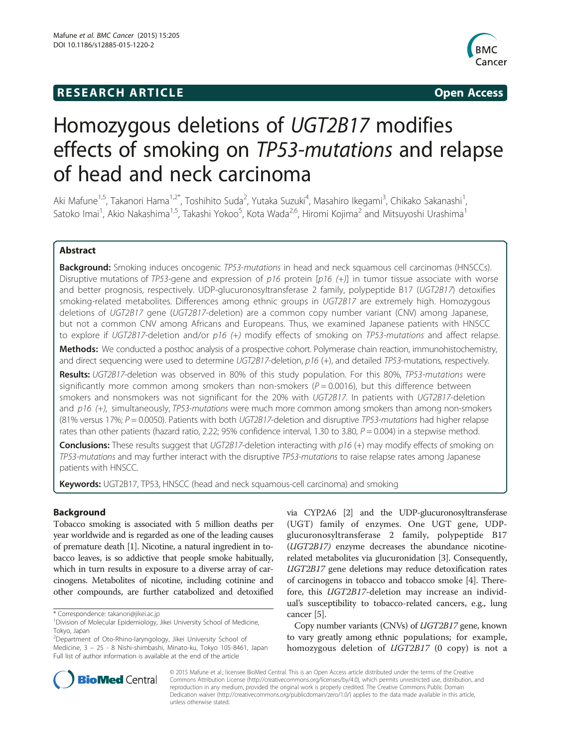## **RESEARCH ARTICLE Example 2014 12:30 The SEAR CHA RTICLE**



# Homozygous deletions of UGT2B17 modifies effects of smoking on TP53-mutations and relapse of head and neck carcinoma

Aki Mafune<sup>1,5</sup>, Takanori Hama<sup>1,2\*</sup>, Toshihito Suda<sup>2</sup>, Yutaka Suzuki<sup>4</sup>, Masahiro Ikegami<sup>3</sup>, Chikako Sakanashi<sup>1</sup> , Satoko Imai<sup>1</sup>, Akio Nakashima<sup>1,5</sup>, Takashi Yokoo<sup>5</sup>, Kota Wada<sup>2,6</sup>, Hiromi Kojima<sup>2</sup> and Mitsuyoshi Urashima<sup>1</sup>

## Abstract

Background: Smoking induces oncogenic TP53-mutations in head and neck squamous cell carcinomas (HNSCCs). Disruptive mutations of TP53-gene and expression of  $p16$  protein [ $p16$  (+)] in tumor tissue associate with worse and better prognosis, respectively. UDP-glucuronosyltransferase 2 family, polypeptide B17 (UGT2B17) detoxifies smoking-related metabolites. Differences among ethnic groups in UGT2B17 are extremely high. Homozygous deletions of UGT2B17 gene (UGT2B17-deletion) are a common copy number variant (CNV) among Japanese, but not a common CNV among Africans and Europeans. Thus, we examined Japanese patients with HNSCC to explore if UGT2B17-deletion and/or p16 (+) modify effects of smoking on TP53-mutations and affect relapse.

Methods: We conducted a posthoc analysis of a prospective cohort. Polymerase chain reaction, immunohistochemistry, and direct sequencing were used to determine UGT2B17-deletion,  $p16$  (+), and detailed TP53-mutations, respectively.

Results: UGT2B17-deletion was observed in 80% of this study population. For this 80%, TP53-mutations were significantly more common among smokers than non-smokers ( $P = 0.0016$ ), but this difference between smokers and nonsmokers was not significant for the 20% with UGT2B17. In patients with UGT2B17-deletion and  $p16$  (+), simultaneously, TP53-mutations were much more common among smokers than among non-smokers (81% versus 17%;  $P = 0.0050$ ). Patients with both UGT2B17-deletion and disruptive TP53-mutations had higher relapse rates than other patients (hazard ratio, 2.22; 95% confidence interval, 1.30 to 3.80,  $P = 0.004$ ) in a stepwise method.

**Conclusions:** These results suggest that UGT2B17-deletion interacting with  $p16$  (+) may modify effects of smoking on TP53-mutations and may further interact with the disruptive TP53-mutations to raise relapse rates among Japanese patients with HNSCC.

Keywords: UGT2B17, TP53, HNSCC (head and neck squamous-cell carcinoma) and smoking

## Background

Tobacco smoking is associated with 5 million deaths per year worldwide and is regarded as one of the leading causes of premature death [\[1\]](#page-8-0). Nicotine, a natural ingredient in tobacco leaves, is so addictive that people smoke habitually, which in turn results in exposure to a diverse array of carcinogens. Metabolites of nicotine, including cotinine and other compounds, are further catabolized and detoxified

2 Department of Oto-Rhino-laryngology, Jikei University School of Medicine, 3 – 25 - 8 Nishi-shimbashi, Minato-ku, Tokyo 105-8461, Japan Full list of author information is available at the end of the article

via CYP2A6 [\[2](#page-8-0)] and the UDP-glucuronosyltransferase (UGT) family of enzymes. One UGT gene, UDPglucuronosyltransferase 2 family, polypeptide B17 (UGT2B17) enzyme decreases the abundance nicotinerelated metabolites via glucuronidation [[3](#page-8-0)]. Consequently, UGT2B17 gene deletions may reduce detoxification rates of carcinogens in tobacco and tobacco smoke [[4\]](#page-8-0). Therefore, this UGT2B17-deletion may increase an individual's susceptibility to tobacco-related cancers, e.g., lung cancer [[5](#page-8-0)].

Copy number variants (CNVs) of UGT2B17 gene, known to vary greatly among ethnic populations; for example, homozygous deletion of UGT2B17 (0 copy) is not a



© 2015 Mafune et al.; licensee BioMed Central. This is an Open Access article distributed under the terms of the Creative Commons Attribution License [\(http://creativecommons.org/licenses/by/4.0\)](http://creativecommons.org/licenses/by/4.0), which permits unrestricted use, distribution, and reproduction in any medium, provided the original work is properly credited. The Creative Commons Public Domain Dedication waiver [\(http://creativecommons.org/publicdomain/zero/1.0/](http://creativecommons.org/publicdomain/zero/1.0/)) applies to the data made available in this article, unless otherwise stated.

<sup>\*</sup> Correspondence: [takanori@jikei.ac.jp](mailto:takanori@jikei.ac.jp) <sup>1</sup>

<sup>&</sup>lt;sup>1</sup> Division of Molecular Epidemiology, Jikei University School of Medicine, Tokyo, Japan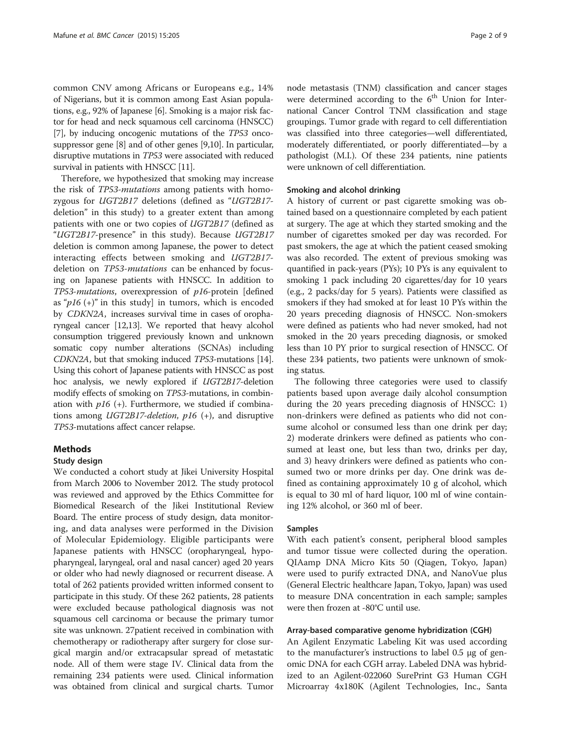common CNV among Africans or Europeans e.g., 14% of Nigerians, but it is common among East Asian populations, e.g., 92% of Japanese [\[6](#page-8-0)]. Smoking is a major risk factor for head and neck squamous cell carcinoma (HNSCC) [[7\]](#page-8-0), by inducing oncogenic mutations of the TP53 oncosuppressor gene [\[8\]](#page-8-0) and of other genes [\[9,10](#page-8-0)]. In particular, disruptive mutations in TP53 were associated with reduced survival in patients with HNSCC [\[11\]](#page-8-0).

Therefore, we hypothesized that smoking may increase the risk of TP53-mutations among patients with homozygous for UGT2B17 deletions (defined as "UGT2B17 deletion" in this study) to a greater extent than among patients with one or two copies of UGT2B17 (defined as "UGT2B17-presence" in this study). Because UGT2B17 deletion is common among Japanese, the power to detect interacting effects between smoking and UGT2B17 deletion on TP53-mutations can be enhanced by focusing on Japanese patients with HNSCC. In addition to TP53-mutations, overexpression of p16-protein [defined as " $p16 (+)$ " in this study] in tumors, which is encoded by CDKN2A, increases survival time in cases of oropharyngeal cancer [\[12,13\]](#page-8-0). We reported that heavy alcohol consumption triggered previously known and unknown somatic copy number alterations (SCNAs) including CDKN2A, but that smoking induced TP53-mutations [[14](#page-8-0)]. Using this cohort of Japanese patients with HNSCC as post hoc analysis, we newly explored if UGT2B17-deletion modify effects of smoking on TP53-mutations, in combination with  $p16$  (+). Furthermore, we studied if combinations among UGT2B17-deletion, p16 (+), and disruptive TP53-mutations affect cancer relapse.

## **Methods**

#### Study design

We conducted a cohort study at Jikei University Hospital from March 2006 to November 2012. The study protocol was reviewed and approved by the Ethics Committee for Biomedical Research of the Jikei Institutional Review Board. The entire process of study design, data monitoring, and data analyses were performed in the Division of Molecular Epidemiology. Eligible participants were Japanese patients with HNSCC (oropharyngeal, hypopharyngeal, laryngeal, oral and nasal cancer) aged 20 years or older who had newly diagnosed or recurrent disease. A total of 262 patients provided written informed consent to participate in this study. Of these 262 patients, 28 patients were excluded because pathological diagnosis was not squamous cell carcinoma or because the primary tumor site was unknown. 27patient received in combination with chemotherapy or radiotherapy after surgery for close surgical margin and/or extracapsular spread of metastatic node. All of them were stage IV. Clinical data from the remaining 234 patients were used. Clinical information was obtained from clinical and surgical charts. Tumor

node metastasis (TNM) classification and cancer stages were determined according to the  $6<sup>th</sup>$  Union for International Cancer Control TNM classification and stage groupings. Tumor grade with regard to cell differentiation was classified into three categories—well differentiated, moderately differentiated, or poorly differentiated—by a pathologist (M.I.). Of these 234 patients, nine patients were unknown of cell differentiation.

## Smoking and alcohol drinking

A history of current or past cigarette smoking was obtained based on a questionnaire completed by each patient at surgery. The age at which they started smoking and the number of cigarettes smoked per day was recorded. For past smokers, the age at which the patient ceased smoking was also recorded. The extent of previous smoking was quantified in pack-years (PYs); 10 PYs is any equivalent to smoking 1 pack including 20 cigarettes/day for 10 years (e.g., 2 packs/day for 5 years). Patients were classified as smokers if they had smoked at for least 10 PYs within the 20 years preceding diagnosis of HNSCC. Non-smokers were defined as patients who had never smoked, had not smoked in the 20 years preceding diagnosis, or smoked less than 10 PY prior to surgical resection of HNSCC. Of these 234 patients, two patients were unknown of smoking status.

The following three categories were used to classify patients based upon average daily alcohol consumption during the 20 years preceding diagnosis of HNSCC: 1) non-drinkers were defined as patients who did not consume alcohol or consumed less than one drink per day; 2) moderate drinkers were defined as patients who consumed at least one, but less than two, drinks per day, and 3) heavy drinkers were defined as patients who consumed two or more drinks per day. One drink was defined as containing approximately 10 g of alcohol, which is equal to 30 ml of hard liquor, 100 ml of wine containing 12% alcohol, or 360 ml of beer.

#### Samples

With each patient's consent, peripheral blood samples and tumor tissue were collected during the operation. QIAamp DNA Micro Kits 50 (Qiagen, Tokyo, Japan) were used to purify extracted DNA, and NanoVue plus (General Electric healthcare Japan, Tokyo, Japan) was used to measure DNA concentration in each sample; samples were then frozen at -80°C until use.

#### Array-based comparative genome hybridization (CGH)

An Agilent Enzymatic Labeling Kit was used according to the manufacturer's instructions to label 0.5 μg of genomic DNA for each CGH array. Labeled DNA was hybridized to an Agilent-022060 SurePrint G3 Human CGH Microarray 4x180K (Agilent Technologies, Inc., Santa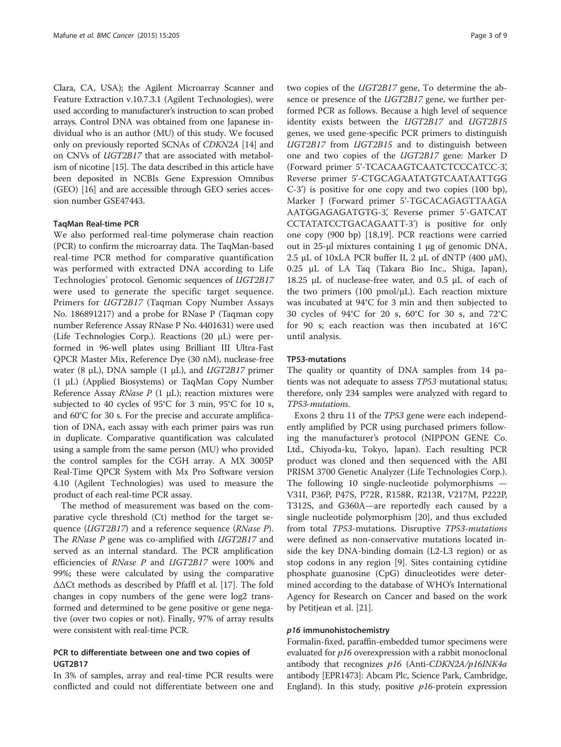Clara, CA, USA); the Agilent Microarray Scanner and Feature Extraction v.10.7.3.1 (Agilent Technologies), were used according to manufacturer's instruction to scan probed arrays. Control DNA was obtained from one Japanese individual who is an author (MU) of this study. We focused only on previously reported SCNAs of CDKN2A [[14](#page-8-0)] and on CNVs of UGT2B17 that are associated with metabolism of nicotine [[15\]](#page-8-0). The data described in this article have been deposited in NCBIs Gene Expression Omnibus (GEO) [[16](#page-8-0)] and are accessible through GEO series accession number GSE47443.

#### TaqMan Real-time PCR

We also performed real-time polymerase chain reaction (PCR) to confirm the microarray data. The TaqMan-based real-time PCR method for comparative quantification was performed with extracted DNA according to Life Technologies' protocol. Genomic sequences of UGT2B17 were used to generate the specific target sequence. Primers for UGT2B17 (Taqman Copy Number Assays No. 186891217) and a probe for RNase P (Taqman copy number Reference Assay RNase P No. 4401631) were used (Life Technologies Corp.). Reactions (20 μL) were performed in 96-well plates using Brilliant III Ultra-Fast QPCR Master Mix, Reference Dye (30 nM), nuclease-free water (8  $\mu$ L), DNA sample (1  $\mu$ L), and *UGT2B17* primer (1 μL) (Applied Biosystems) or TaqMan Copy Number Reference Assay *RNase P* (1  $\mu$ L); reaction mixtures were subjected to 40 cycles of 95°C for 3 min, 95°C for 10 s, and 60°C for 30 s. For the precise and accurate amplification of DNA, each assay with each primer pairs was run in duplicate. Comparative quantification was calculated using a sample from the same person (MU) who provided the control samples for the CGH array. A MX 3005P Real-Time QPCR System with Mx Pro Software version 4.10 (Agilent Technologies) was used to measure the product of each real-time PCR assay.

The method of measurement was based on the comparative cycle threshold (Ct) method for the target sequence (*UGT2B17*) and a reference sequence (*RNase P*). The *RNase P* gene was co-amplified with *UGT2B17* and served as an internal standard. The PCR amplification efficiencies of RNase P and UGT2B17 were 100% and 99%; these were calculated by using the comparative ΔΔCt methods as described by Pfaffl et al. [\[17](#page-8-0)]. The fold changes in copy numbers of the gene were log2 transformed and determined to be gene positive or gene negative (over two copies or not). Finally, 97% of array results were consistent with real-time PCR.

## PCR to differentiate between one and two copies of UGT2B17

In 3% of samples, array and real-time PCR results were conflicted and could not differentiate between one and two copies of the UGT2B17 gene, To determine the absence or presence of the UGT2B17 gene, we further performed PCR as follows. Because a high level of sequence identity exists between the UGT2B17 and UGT2B15 genes, we used gene-specific PCR primers to distinguish UGT2B17 from UGT2B15 and to distinguish between one and two copies of the UGT2B17 gene: Marker D (Forward primer 5'-TCACAAGTCAATCTCCCATCC-3', Reverse primer 5'-CTGCAGAATATGTCAATAATTGG C-3') is positive for one copy and two copies (100 bp), Marker J (Forward primer 5'-TGCACAGAGTTAAGA AATGGAGAGATGTG-3', Reverse primer 5'-GATCAT CCTATATCCTGACAGAATT-3') is positive for only one copy (900 bp) [[18,19\]](#page-8-0). PCR reactions were carried out in 25-μl mixtures containing 1 μg of genomic DNA, 2.5 μL of 10xLA PCR buffer II, 2 μL of dNTP (400 μM), 0.25 μL of LA Taq (Takara Bio Inc., Shiga, Japan), 18.25 μL of nuclease-free water, and 0.5 μL of each of the two primers (100 pmol/ $\mu$ L). Each reaction mixture was incubated at 94°C for 3 min and then subjected to 30 cycles of 94°C for 20 s, 60°C for 30 s, and 72°C for 90 s; each reaction was then incubated at 16°C until analysis.

#### TP53-mutations

The quality or quantity of DNA samples from 14 patients was not adequate to assess TP53 mutational status; therefore, only 234 samples were analyzed with regard to TP53-mutations.

Exons 2 thru 11 of the TP53 gene were each independently amplified by PCR using purchased primers following the manufacturer's protocol (NIPPON GENE Co. Ltd., Chiyoda-ku, Tokyo, Japan). Each resulting PCR product was cloned and then sequenced with the ABI PRISM 3700 Genetic Analyzer (Life Technologies Corp.). The following 10 single-nucleotide polymorphisms — V31I, P36P, P47S, P72R, R158R, R213R, V217M, P222P, T312S, and G360A—are reportedly each caused by a single nucleotide polymorphism [[20\]](#page-8-0), and thus excluded from total TP53-mutations. Disruptive TP53-mutations were defined as non-conservative mutations located inside the key DNA-binding domain (L2-L3 region) or as stop codons in any region [\[9](#page-8-0)]. Sites containing cytidine phosphate guanosine (CpG) dinucleotides were determined according to the database of WHO's International Agency for Research on Cancer and based on the work by Petitjean et al. [\[21](#page-8-0)].

## p16 immunohistochemistry

Formalin-fixed, paraffin-embedded tumor specimens were evaluated for p16 overexpression with a rabbit monoclonal antibody that recognizes  $p16$  (Anti-CDKN2A/p16INK4a antibody [EPR1473]: Abcam Plc, Science Park, Cambridge, England). In this study, positive  $p16$ -protein expression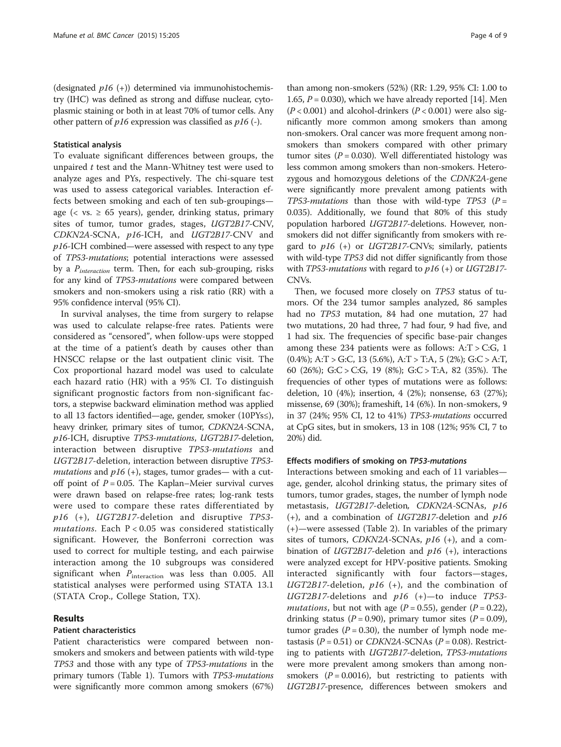(designated  $p16 (+)$ ) determined via immunohistochemistry (IHC) was defined as strong and diffuse nuclear, cytoplasmic staining or both in at least 70% of tumor cells. Any other pattern of  $p16$  expression was classified as  $p16$  (-).

#### Statistical analysis

To evaluate significant differences between groups, the unpaired  $t$  test and the Mann-Whitney test were used to analyze ages and PYs, respectively. The chi-square test was used to assess categorical variables. Interaction effects between smoking and each of ten sub-groupings age ( $\langle$  vs.  $\geq$  65 years), gender, drinking status, primary sites of tumor, tumor grades, stages, UGT2B17-CNV, CDKN2A-SCNA, p16-ICH, and UGT2B17-CNV and  $p16$ -ICH combined—were assessed with respect to any type of TP53-mutations; potential interactions were assessed by a  $P_{interaction}$  term. Then, for each sub-grouping, risks for any kind of TP53-mutations were compared between smokers and non-smokers using a risk ratio (RR) with a 95% confidence interval (95% CI).

In survival analyses, the time from surgery to relapse was used to calculate relapse-free rates. Patients were considered as "censored", when follow-ups were stopped at the time of a patient's death by causes other than HNSCC relapse or the last outpatient clinic visit. The Cox proportional hazard model was used to calculate each hazard ratio (HR) with a 95% CI. To distinguish significant prognostic factors from non-significant factors, a stepwise backward elimination method was applied to all 13 factors identified—age, gender, smoker (10PYs≤), heavy drinker, primary sites of tumor, CDKN2A-SCNA, p16-ICH, disruptive TP53-mutations, UGT2B17-deletion, interaction between disruptive TP53-mutations and UGT2B17-deletion, interaction between disruptive TP53 mutations and  $p16$  (+), stages, tumor grades— with a cutoff point of  $P = 0.05$ . The Kaplan–Meier survival curves were drawn based on relapse-free rates; log-rank tests were used to compare these rates differentiated by p16 (+), UGT2B17-deletion and disruptive TP53  $mutations.$  Each  $P < 0.05$  was considered statistically significant. However, the Bonferroni correction was used to correct for multiple testing, and each pairwise interaction among the 10 subgroups was considered significant when  $P_{\text{interaction}}$  was less than 0.005. All statistical analyses were performed using STATA 13.1 (STATA Crop., College Station, TX).

## Results

## Patient characteristics

Patient characteristics were compared between nonsmokers and smokers and between patients with wild-type TP53 and those with any type of TP53-mutations in the primary tumors (Table [1\)](#page-4-0). Tumors with TP53-mutations were significantly more common among smokers (67%)

than among non-smokers (52%) (RR: 1.29, 95% CI: 1.00 to 1.65,  $P = 0.030$ , which we have already reported [\[14\]](#page-8-0). Men  $(P < 0.001)$  and alcohol-drinkers  $(P < 0.001)$  were also significantly more common among smokers than among non-smokers. Oral cancer was more frequent among nonsmokers than smokers compared with other primary tumor sites ( $P = 0.030$ ). Well differentiated histology was less common among smokers than non-smokers. Heterozygous and homozygous deletions of the CDNK2A-gene were significantly more prevalent among patients with TP53-mutations than those with wild-type TP53 ( $P =$ 0.035). Additionally, we found that 80% of this study population harbored UGT2B17-deletions. However, nonsmokers did not differ significantly from smokers with regard to  $p16$  (+) or UGT2B17-CNVs; similarly, patients with wild-type *TP53* did not differ significantly from those with TP53-mutations with regard to  $p16 (+)$  or UGT2B17-CNVs.

Then, we focused more closely on TP53 status of tumors. Of the 234 tumor samples analyzed, 86 samples had no TP53 mutation, 84 had one mutation, 27 had two mutations, 20 had three, 7 had four, 9 had five, and 1 had six. The frequencies of specific base-pair changes among these 234 patients were as follows:  $A: T > C: G$ , 1 (0.4%); A:T > G:C, 13 (5.6%), A:T > T:A, 5 (2%); G:C > A:T, 60 (26%); G:C > C:G, 19 (8%); G:C > T:A, 82 (35%). The frequencies of other types of mutations were as follows: deletion, 10 (4%); insertion, 4 (2%); nonsense, 63 (27%); missense, 69 (30%); frameshift, 14 (6%). In non-smokers, 9 in 37 (24%; 95% CI, 12 to 41%) TP53-mutations occurred at CpG sites, but in smokers, 13 in 108 (12%; 95% CI, 7 to 20%) did.

## Effects modifiers of smoking on TP53-mutations

Interactions between smoking and each of 11 variables age, gender, alcohol drinking status, the primary sites of tumors, tumor grades, stages, the number of lymph node metastasis, UGT2B17-deletion, CDKN2A-SCNAs, p16 (+), and a combination of  $UGT2B17$ -deletion and  $p16$ (+)—were assessed (Table [2](#page-5-0)). In variables of the primary sites of tumors,  $CDKN2A$ -SCNAs,  $p16$  (+), and a combination of *UGT2B17*-deletion and  $p16$  (+), interactions were analyzed except for HPV-positive patients. Smoking interacted significantly with four factors—stages, UGT2B17-deletion,  $p16$  (+), and the combination of  $UGT2B17$ -deletions and  $p16$  (+)—to induce TP53*mutations*, but not with age ( $P = 0.55$ ), gender ( $P = 0.22$ ), drinking status ( $P = 0.90$ ), primary tumor sites ( $P = 0.09$ ), tumor grades ( $P = 0.30$ ), the number of lymph node metastasis ( $P = 0.51$ ) or CDKN2A-SCNAs ( $P = 0.08$ ). Restricting to patients with UGT2B17-deletion, TP53-mutations were more prevalent among smokers than among nonsmokers ( $P = 0.0016$ ), but restricting to patients with UGT2B17-presence, differences between smokers and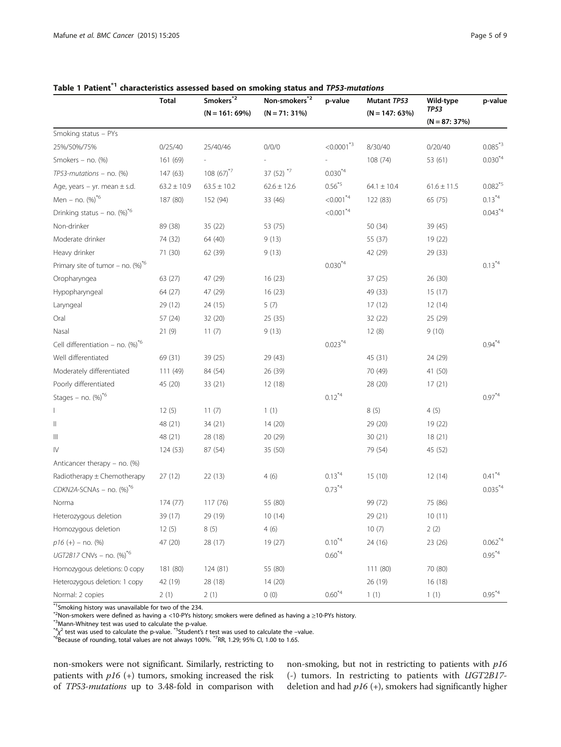|                                                  | <b>Total</b>    | Smokers*2        | Non-smokers <sup>*2</sup> | p-value                   | Mutant TP53      | Wild-type       | p-value                |
|--------------------------------------------------|-----------------|------------------|---------------------------|---------------------------|------------------|-----------------|------------------------|
|                                                  |                 | $(N = 161: 69%)$ | $(N = 71:31\%)$           |                           | $(N = 147: 63%)$ | <b>TP53</b>     |                        |
|                                                  |                 |                  |                           |                           |                  | $(N = 87: 37%)$ |                        |
| Smoking status - PYs                             |                 |                  |                           |                           |                  |                 |                        |
| 25%/50%/75%                                      | 0/25/40         | 25/40/46         | 0/0/0                     | $< 0.0001^*$ <sup>3</sup> | 8/30/40          | 0/20/40         | $0.085^*$ <sup>3</sup> |
| Smokers $-$ no. $(\%)$                           | 161 (69)        |                  |                           |                           | 108 (74)         | 53 (61)         | $0.030^{*4}$           |
| $TP53$ -mutations – no. $%$                      | 147(63)         | $108(67)^{*7}$   | 37 (52) $*7$              | $0.030^{*4}$              |                  |                 |                        |
| Age, years - yr. mean $\pm$ s.d.                 | $63.2 \pm 10.9$ | $63.5 \pm 10.2$  | $62.6 \pm 12.6$           | $0.56^{*5}$               | $64.1 \pm 10.4$  | $61.6 \pm 11.5$ | $0.082^{*5}$           |
| Men - no. $(%)$ <sup>*6</sup>                    | 187 (80)        | 152 (94)         | 33 (46)                   | $< 0.001^*$               | 122 (83)         | 65 (75)         | $0.13^{*4}$            |
| Drinking status - no. $(\%)^{\ast 6}$            |                 |                  |                           | $< 0.001^{\ast 4}$        |                  |                 | $0.043^*$              |
| Non-drinker                                      | 89 (38)         | 35(22)           | 53 (75)                   |                           | 50 (34)          | 39 (45)         |                        |
| Moderate drinker                                 | 74 (32)         | 64 (40)          | 9(13)                     |                           | 55 (37)          | 19 (22)         |                        |
| Heavy drinker                                    | 71 (30)         | 62 (39)          | 9(13)                     |                           | 42 (29)          | 29 (33)         |                        |
| Primary site of tumor – no. $(\%)^{\ast}6$       |                 |                  |                           | $0.030^{*4}$              |                  |                 | $0.13^{*4}$            |
| Oropharyngea                                     | 63 (27)         | 47 (29)          | 16 (23)                   |                           | 37 (25)          | 26(30)          |                        |
| Hypopharyngeal                                   | 64 (27)         | 47 (29)          | 16 (23)                   |                           | 49 (33)          | 15(17)          |                        |
| Laryngeal                                        | 29 (12)         | 24 (15)          | 5(7)                      |                           | 17(12)           | 12(14)          |                        |
| Oral                                             | 57 (24)         | 32 (20)          | 25 (35)                   |                           | 32(22)           | 25 (29)         |                        |
| Nasal                                            | 21(9)           | 11(7)            | 9(13)                     |                           | 12(8)            | 9(10)           |                        |
| Cell differentiation - no. $(\%)^*$ <sup>6</sup> |                 |                  |                           | $0.023^{*4}$              |                  |                 | $0.94^*$ <sup>4</sup>  |
| Well differentiated                              | 69 (31)         | 39 (25)          | 29 (43)                   |                           | 45 (31)          | 24 (29)         |                        |
| Moderately differentiated                        | 111 (49)        | 84 (54)          | 26 (39)                   |                           | 70 (49)          | 41 (50)         |                        |
| Poorly differentiated                            | 45 (20)         | 33(21)           | 12 (18)                   |                           | 28 (20)          | 17(21)          |                        |
| Stages - no. $(\%)^{\ast}6$                      |                 |                  |                           | $0.12^{*4}$               |                  |                 | $0.97^*$               |
|                                                  | 12(5)           | 11(7)            | 1(1)                      |                           | 8(5)             | 4(5)            |                        |
| Ш                                                | 48 (21)         | 34(21)           | 14 (20)                   |                           | 29(20)           | 19 (22)         |                        |
| Ш                                                | 48 (21)         | 28 (18)          | 20 (29)                   |                           | 30(21)           | 18(21)          |                        |
| IV                                               | 124 (53)        | 87 (54)          | 35 (50)                   |                           | 79 (54)          | 45 (52)         |                        |
| Anticancer therapy $-$ no. (%)                   |                 |                  |                           |                           |                  |                 |                        |
| Radiotherapy ± Chemotherapy                      | 27(12)          | 22(13)           | 4(6)                      | $0.13^{*4}$               | 15(10)           | 12(14)          | $0.41^*$               |
| $CDKN2A-SCNAs - no.$ (%) <sup>*6</sup>           |                 |                  |                           | $0.73^{*4}$               |                  |                 | $0.035^{*4}$           |
| Norma                                            | 174 (77)        | 117 (76)         | 55 (80)                   |                           | 99 (72)          | 75 (86)         |                        |
| Heterozygous deletion                            | 39 (17)         | 29 (19)          | 10(14)                    |                           | 29 (21)          | 10(11)          |                        |
| Homozygous deletion                              | 12(5)           | 8(5)             | 4(6)                      |                           | 10(7)            | 2(2)            |                        |
| $p16 (+) -$ no. (%)                              | 47 (20)         | 28 (17)          | 19 (27)                   | $0.10^{*4}$               | 24 (16)          | 23 (26)         | $0.062^*$              |
| UGT2B17 CNVs - no. $(\%)^{\ast}$ 6               |                 |                  |                           | $0.60^{*4}$               |                  |                 | $0.95^{\ast 4}$        |
| Homozygous deletions: 0 copy                     | 181 (80)        | 124 (81)         | 55 (80)                   |                           | 111 (80)         | 70 (80)         |                        |
| Heterozygous deletion: 1 copy                    | 42 (19)         | 28 (18)          | 14(20)                    |                           | 26 (19)          | 16 (18)         |                        |
| Normal: 2 copies                                 | 2(1)            | 2(1)             | 0(0)                      | $0.60^{*4}$               | 1(1)             | 1(1)            | $0.95^*$ <sup>4</sup>  |

## <span id="page-4-0"></span>Table 1 Patient<sup>\*1</sup> characteristics assessed based on smoking status and TP53-mutations

 $*$ <sup>1</sup>Smoking history was unavailable for two of the 234.

\*<sup>2</sup>Non-smokers were defined as having a <10-PYs history; smokers were defined as having a ≥10-PYs history.<br>\*<sup>3</sup>Mann-Whitney test was used to calculate the p-value.

 $^{*4}\chi^{2}$  test was used to calculate the p-value.  $^{*5}$ Student's t test was used to calculate the –value.<br> $^{*6}$ Because of rounding, total values are not always 100%.  $^{*7}$ RR, 1.29; 95% CI, 1.00 to 1.65.

non-smokers were not significant. Similarly, restricting to patients with  $p16$  (+) tumors, smoking increased the risk of TP53-mutations up to 3.48-fold in comparison with non-smoking, but not in restricting to patients with p16 (-) tumors. In restricting to patients with UGT2B17 deletion and had  $p16$  (+), smokers had significantly higher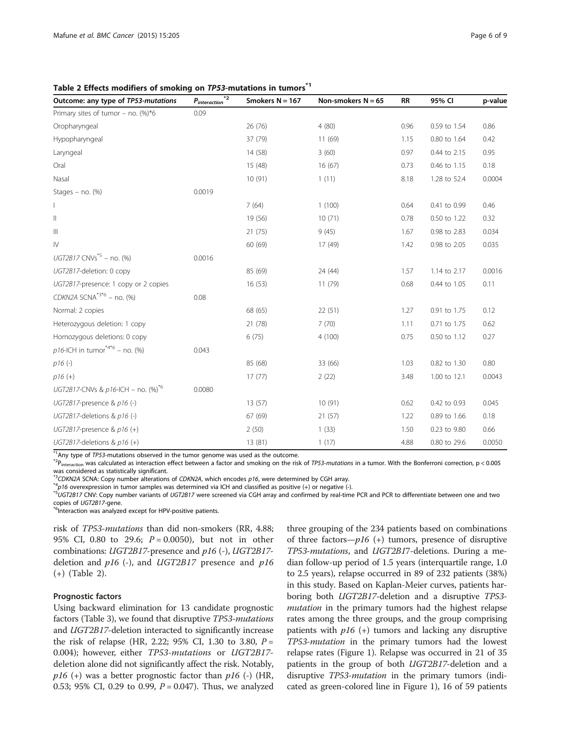<span id="page-5-0"></span>Table 2 Effects modifiers of smoking on TP53-mutations in tumors<sup>\*1</sup>

| Outcome: any type of TP53-mutations            | *2<br>$P_{interaction}$ | Smokers $N = 167$ | Non-smokers $N = 65$ | <b>RR</b> | 95% CI       | p-value |
|------------------------------------------------|-------------------------|-------------------|----------------------|-----------|--------------|---------|
| Primary sites of tumor - no. $%$ /*6           | 0.09                    |                   |                      |           |              |         |
| Oropharyngeal                                  |                         | 26 (76)           | 4(80)                | 0.96      | 0.59 to 1.54 | 0.86    |
| Hypopharyngeal                                 |                         | 37 (79)           | 11(69)               | 1.15      | 0.80 to 1.64 | 0.42    |
| Laryngeal                                      |                         | 14 (58)           | 3(60)                | 0.97      | 0.44 to 2.15 | 0.95    |
| Oral                                           |                         | 15 (48)           | 16(67)               | 0.73      | 0.46 to 1.15 | 0.18    |
| Nasal                                          |                         | 10(91)            | 1(11)                | 8.18      | 1.28 to 52.4 | 0.0004  |
| Stages $-$ no. $(\%)$                          | 0.0019                  |                   |                      |           |              |         |
|                                                |                         | 7(64)             | 1(100)               | 0.64      | 0.41 to 0.99 | 0.46    |
| $\vert\vert$                                   |                         | 19 (56)           | 10(71)               | 0.78      | 0.50 to 1.22 | 0.32    |
| $\ensuremath{\mathsf{III}}\xspace$             |                         | 21(75)            | 9(45)                | 1.67      | 0.98 to 2.83 | 0.034   |
| $\mathsf{I}\mathsf{V}$                         |                         | 60 (69)           | 17 (49)              | 1.42      | 0.98 to 2.05 | 0.035   |
| UGT2B17 CNVs <sup>*5</sup> – no. (%)           | 0.0016                  |                   |                      |           |              |         |
| UGT2B17-deletion: 0 copy                       |                         | 85 (69)           | 24 (44)              | 1.57      | 1.14 to 2.17 | 0.0016  |
| UGT2B17-presence: 1 copy or 2 copies           |                         | 16(53)            | 11(79)               | 0.68      | 0.44 to 1.05 | 0.11    |
| CDKN2A SCNA <sup>*3*6</sup> - no. (%)          | 0.08                    |                   |                      |           |              |         |
| Normal: 2 copies                               |                         | 68 (65)           | 22(51)               | 1.27      | 0.91 to 1.75 | 0.12    |
| Heterozygous deletion: 1 copy                  |                         | 21 (78)           | 7(70)                | 1.11      | 0.71 to 1.75 | 0.62    |
| Homozygous deletions: 0 copy                   |                         | 6(75)             | 4(100)               | 0.75      | 0.50 to 1.12 | 0.27    |
| $p16$ -ICH in tumor <sup>*4*6</sup> – no. (%)  | 0.043                   |                   |                      |           |              |         |
| $p16(-)$                                       |                         | 85 (68)           | 33 (66)              | 1.03      | 0.82 to 1.30 | 0.80    |
| $p16 (+)$                                      |                         | 17(77)            | 2(22)                | 3.48      | 1.00 to 12.1 | 0.0043  |
| UGT2B17-CNVs & p16-ICH - no. (%) <sup>*6</sup> | 0.0080                  |                   |                      |           |              |         |
| UGT2B17-presence & p16 (-)                     |                         | 13(57)            | 10(91)               | 0.62      | 0.42 to 0.93 | 0.045   |
| UGT2B17-deletions & $p16$ (-)                  |                         | 67 (69)           | 21(57)               | 1.22      | 0.89 to 1.66 | 0.18    |
| UGT2B17-presence & $p16 (+)$                   |                         | 2(50)             | 1(33)                | 1.50      | 0.23 to 9.80 | 0.66    |
| UGT2B17-deletions & $p16 (+)$                  |                         | 13 (81)           | 1(17)                | 4.88      | 0.80 to 29.6 | 0.0050  |

\*1Any type of TP53-mutations observed in the tumor genome was used as the outcome.<br>\*2P<sub>interaction</sub> was calculated as interaction effect between a factor and smoking on the risk of TP53-*mutations* in a tumor. With the Bo was considered as statistically significant.<br><sup>\*3</sup>CDKN2A SCNA: Copy number alterations of CDKN2A, which encodes p16, were determined by CGH array.

<sup>\*4</sup>p16 overexpression in tumor samples was determined via ICH and classified as positive (+) or negative (-).<br><sup>\*5</sup>UGT2B17 CNV: Copy number variants of UGT2B17 were screened via CGH array and confirmed by real-time PCR and

<sup>\*6</sup>Interaction was analyzed except for HPV-positive patients.

risk of TP53-mutations than did non-smokers (RR, 4.88; 95% CI, 0.80 to 29.6;  $P = 0.0050$ , but not in other combinations: UGT2B17-presence and p16 (-), UGT2B17 deletion and  $p16$  (-), and UGT2B17 presence and  $p16$ (+) (Table 2).

## Prognostic factors

Using backward elimination for 13 candidate prognostic factors (Table [3](#page-6-0)), we found that disruptive TP53-mutations and UGT2B17-deletion interacted to significantly increase the risk of relapse (HR, 2.22; 95% CI, 1.30 to 3.80,  $P =$ 0.004); however, either TP53-mutations or UGT2B17 deletion alone did not significantly affect the risk. Notably,  $p16$  (+) was a better prognostic factor than  $p16$  (-) (HR, 0.53; 95% CI, 0.29 to 0.99,  $P = 0.047$ ). Thus, we analyzed

three grouping of the 234 patients based on combinations of three factors— $p16$  (+) tumors, presence of disruptive TP53-mutations, and UGT2B17-deletions. During a median follow-up period of 1.5 years (interquartile range, 1.0 to 2.5 years), relapse occurred in 89 of 232 patients (38%) in this study. Based on Kaplan-Meier curves, patients harboring both UGT2B17-deletion and a disruptive TP53 mutation in the primary tumors had the highest relapse rates among the three groups, and the group comprising patients with  $p16$  (+) tumors and lacking any disruptive TP53-mutation in the primary tumors had the lowest relapse rates (Figure [1\)](#page-6-0). Relapse was occurred in 21 of 35 patients in the group of both UGT2B17-deletion and a disruptive *TP53-mutation* in the primary tumors (indicated as green-colored line in Figure [1\)](#page-6-0), 16 of 59 patients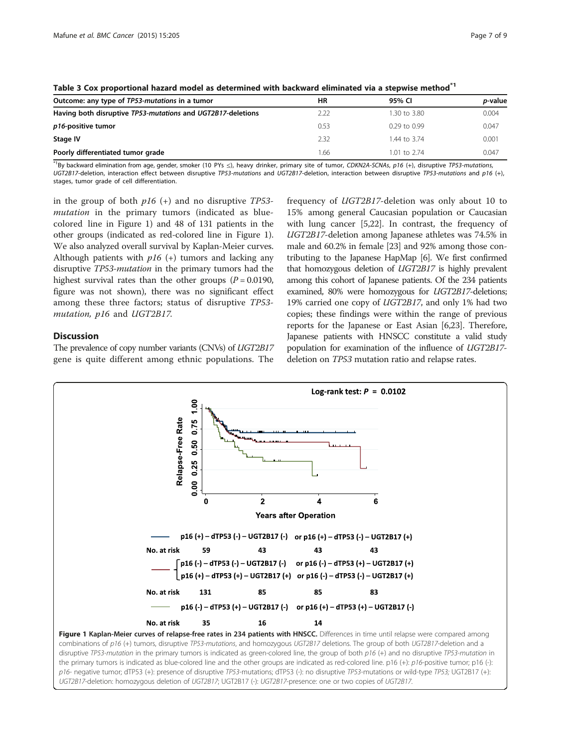| Outcome: any type of TP53-mutations in a tumor              | ΗR   | 95% CI           | <i>p</i> -value |  |  |  |
|-------------------------------------------------------------|------|------------------|-----------------|--|--|--|
| Having both disruptive TP53-mutations and UGT2B17-deletions | 2.22 | 1.30 to 3.80     | 0.004           |  |  |  |
| p16-positive tumor                                          | 0.53 | $0.29$ to $0.99$ | 0.047           |  |  |  |
| Stage IV                                                    | 2.32 | 1.44 to 3.74     | 0.001           |  |  |  |
| Poorly differentiated tumor grade                           | 1.66 | 1.01 to $2.74$   | 0.047           |  |  |  |

<span id="page-6-0"></span>Table 3 Cox proportional hazard model as determined with backward eliminated via a stepwise method\*1

\*1By backward elimination from age, gender, smoker (10 PYs ≤), heavy drinker, primary site of tumor, CDKN2A-SCNAs, p16 (+), disruptive TP53-mutations, UGT2B17-deletion, interaction effect between disruptive TP53-mutations and UGT2B17-deletion, interaction between disruptive TP53-mutations and p16 (+), stages, tumor grade of cell differentiation.

in the group of both  $p16$  (+) and no disruptive TP53mutation in the primary tumors (indicated as bluecolored line in Figure 1) and 48 of 131 patients in the other groups (indicated as red-colored line in Figure 1). We also analyzed overall survival by Kaplan-Meier curves. Although patients with  $p16$  (+) tumors and lacking any disruptive TP53-mutation in the primary tumors had the highest survival rates than the other groups ( $P = 0.0190$ , figure was not shown), there was no significant effect among these three factors; status of disruptive TP53 mutation, p16 and UGT2B17.

## **Discussion**

The prevalence of copy number variants (CNVs) of UGT2B17 gene is quite different among ethnic populations. The frequency of UGT2B17-deletion was only about 10 to 15% among general Caucasian population or Caucasian with lung cancer [[5,22](#page-8-0)]. In contrast, the frequency of UGT2B17-deletion among Japanese athletes was 74.5% in male and 60.2% in female [\[23\]](#page-8-0) and 92% among those contributing to the Japanese HapMap [\[6\]](#page-8-0). We first confirmed that homozygous deletion of UGT2B17 is highly prevalent among this cohort of Japanese patients. Of the 234 patients examined, 80% were homozygous for UGT2B17-deletions; 19% carried one copy of UGT2B17, and only 1% had two copies; these findings were within the range of previous reports for the Japanese or East Asian [[6,23](#page-8-0)]. Therefore, Japanese patients with HNSCC constitute a valid study population for examination of the influence of UGT2B17 deletion on TP53 mutation ratio and relapse rates.



combinations of p16 (+) tumors, disruptive TP53-mutations, and homozygous UGT2B17 deletions. The group of both UGT2B17-deletion and a disruptive TP53-mutation in the primary tumors is indicated as green-colored line, the group of both p16 (+) and no disruptive TP53-mutation in the primary tumors is indicated as blue-colored line and the other groups are indicated as red-colored line. p16 (+): p16-positive tumor; p16 (-): p16- negative tumor; dTP53 (+): presence of disruptive TP53-mutations; dTP53 (-): no disruptive TP53-mutations or wild-type TP53; UGT2B17 (+): UGT2B17-deletion: homozygous deletion of UGT2B17; UGT2B17 (-): UGT2B17-presence: one or two copies of UGT2B17.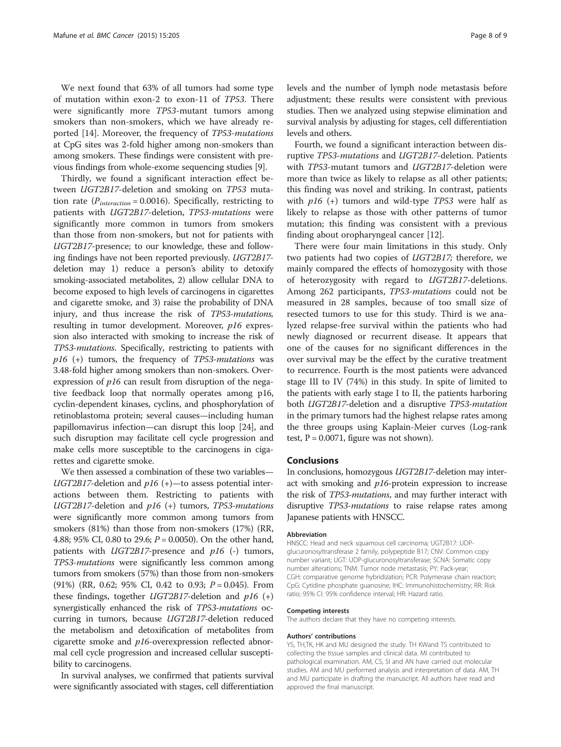We next found that 63% of all tumors had some type of mutation within exon-2 to exon-11 of TP53. There were significantly more TP53-mutant tumors among smokers than non-smokers, which we have already reported [\[14\]](#page-8-0). Moreover, the frequency of TP53-mutations at CpG sites was 2-fold higher among non-smokers than among smokers. These findings were consistent with previous findings from whole-exome sequencing studies [[9\]](#page-8-0).

Thirdly, we found a significant interaction effect between UGT2B17-deletion and smoking on TP53 mutation rate ( $P_{interaction} = 0.0016$ ). Specifically, restricting to patients with UGT2B17-deletion, TP53-mutations were significantly more common in tumors from smokers than those from non-smokers, but not for patients with UGT2B17-presence; to our knowledge, these and following findings have not been reported previously. UGT2B17 deletion may 1) reduce a person's ability to detoxify smoking-associated metabolites, 2) allow cellular DNA to become exposed to high levels of carcinogens in cigarettes and cigarette smoke, and 3) raise the probability of DNA injury, and thus increase the risk of TP53-mutations, resulting in tumor development. Moreover, p16 expression also interacted with smoking to increase the risk of TP53-mutations. Specifically, restricting to patients with  $p16$  (+) tumors, the frequency of TP53-mutations was 3.48-fold higher among smokers than non-smokers. Overexpression of p16 can result from disruption of the negative feedback loop that normally operates among p16, cyclin-dependent kinases, cyclins, and phosphorylation of retinoblastoma protein; several causes—including human papillomavirus infection—can disrupt this loop [[24\]](#page-8-0), and such disruption may facilitate cell cycle progression and make cells more susceptible to the carcinogens in cigarettes and cigarette smoke.

We then assessed a combination of these two variables—  $UGT2B17$ -deletion and  $p16 (+)$ —to assess potential interactions between them. Restricting to patients with  $UGT2B17$ -deletion and  $p16$  (+) tumors, TP53-mutations were significantly more common among tumors from smokers (81%) than those from non-smokers (17%) (RR, 4.88; 95% CI, 0.80 to 29.6;  $P = 0.0050$ ). On the other hand, patients with  $UGT2B17$ -presence and  $p16$  (-) tumors, TP53-mutations were significantly less common among tumors from smokers (57%) than those from non-smokers (91%) (RR, 0.62; 95% CI, 0.42 to 0.93;  $P = 0.045$ ). From these findings, together  $UGT2B17$ -deletion and  $p16 (+)$ synergistically enhanced the risk of TP53-mutations occurring in tumors, because UGT2B17-deletion reduced the metabolism and detoxification of metabolites from cigarette smoke and p16-overexpression reflected abnormal cell cycle progression and increased cellular susceptibility to carcinogens.

In survival analyses, we confirmed that patients survival were significantly associated with stages, cell differentiation levels and the number of lymph node metastasis before adjustment; these results were consistent with previous studies. Then we analyzed using stepwise elimination and survival analysis by adjusting for stages, cell differentiation levels and others.

Fourth, we found a significant interaction between disruptive TP53-mutations and UGT2B17-deletion. Patients with TP53-mutant tumors and UGT2B17-deletion were more than twice as likely to relapse as all other patients; this finding was novel and striking. In contrast, patients with  $p16$  (+) tumors and wild-type TP53 were half as likely to relapse as those with other patterns of tumor mutation; this finding was consistent with a previous finding about oropharyngeal cancer [[12](#page-8-0)].

There were four main limitations in this study. Only two patients had two copies of UGT2B17; therefore, we mainly compared the effects of homozygosity with those of heterozygosity with regard to UGT2B17-deletions. Among 262 participants, TP53-mutations could not be measured in 28 samples, because of too small size of resected tumors to use for this study. Third is we analyzed relapse-free survival within the patients who had newly diagnosed or recurrent disease. It appears that one of the causes for no significant differences in the over survival may be the effect by the curative treatment to recurrence. Fourth is the most patients were advanced stage III to IV (74%) in this study. In spite of limited to the patients with early stage I to II, the patients harboring both UGT2B17-deletion and a disruptive TP53-mutation in the primary tumors had the highest relapse rates among the three groups using Kaplain-Meier curves (Log-rank test,  $P = 0.0071$ , figure was not shown).

## Conclusions

In conclusions, homozygous UGT2B17-deletion may interact with smoking and p16-protein expression to increase the risk of *TP53-mutations*, and may further interact with disruptive TP53-mutations to raise relapse rates among Japanese patients with HNSCC.

#### Abbreviation

HNSCC: Head and neck squamous cell carcinoma; UGT2B17: UDPglucuronosyltransferase 2 family, polypeptide B17; CNV: Common copy number variant; UGT: UDP-glucuronosyltransferase; SCNA: Somatic copy number alterations; TNM: Tumor node metastasis; PY: Pack-year; CGH: comparative genome hybridization; PCR: Polymerase chain reaction; CpG: Cytidine phosphate guanosine; IHC: Immunohistochemistry; RR: Risk ratio; 95% CI: 95% confidence interval; HR: Hazard ratio.

#### Competing interests

The authors declare that they have no competing interests.

#### Authors' contributions

YS, TH,TK, HK and MU designed the study. TH KWand TS contributed to collecting the tissue samples and clinical data. MI contributed to pathological examination. AM, CS, SI and AN have carried out molecular studies. AM and MU performed analysis and interpretation of data. AM, TH and MU participate in drafting the manuscript. All authors have read and approved the final manuscript.